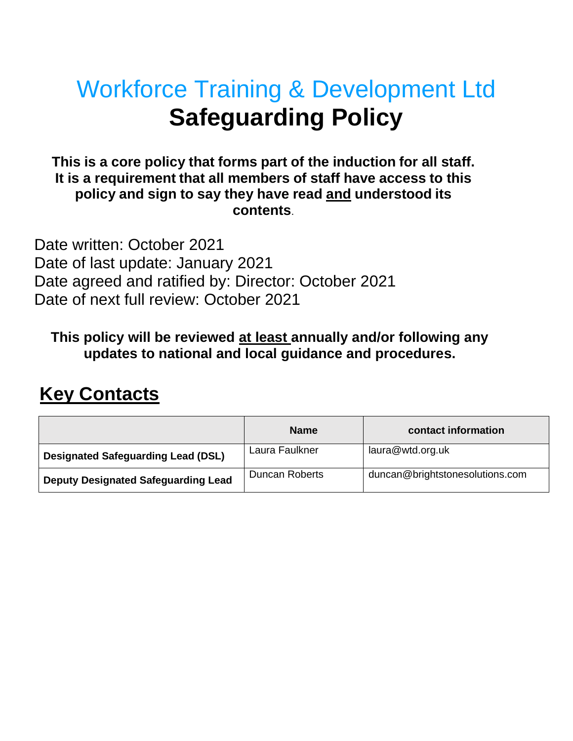# Workforce Training & Development Ltd **Safeguarding Policy**

# **This is a core policy that forms part of the induction for all staff. It is a requirement that all members of staff have access to this policy and sign to say they have read and understood its contents**.

Date written: October 2021 Date of last update: January 2021 Date agreed and ratified by: Director: October 2021 Date of next full review: October 2021

**This policy will be reviewed at least annually and/or following any updates to national and local guidance and procedures.** 

# **Key Contacts**

|                                            | <b>Name</b>    | contact information             |
|--------------------------------------------|----------------|---------------------------------|
| <b>Designated Safeguarding Lead (DSL)</b>  | Laura Faulkner | laura@wtd.org.uk                |
| <b>Deputy Designated Safeguarding Lead</b> | Duncan Roberts | duncan@brightstonesolutions.com |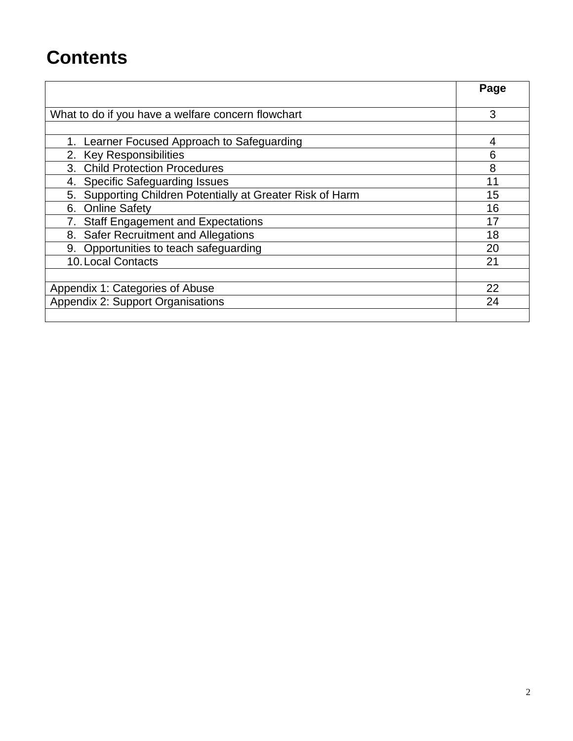# **Contents**

|                                                               | Page |
|---------------------------------------------------------------|------|
|                                                               |      |
| What to do if you have a welfare concern flowchart            | 3    |
|                                                               |      |
| 1. Learner Focused Approach to Safeguarding                   | 4    |
| 2. Key Responsibilities                                       | 6    |
| 3. Child Protection Procedures                                | 8    |
| <b>Specific Safeguarding Issues</b><br>4.                     | 11   |
| Supporting Children Potentially at Greater Risk of Harm<br>5. | 15   |
| <b>Online Safety</b><br>6.                                    | 16   |
| <b>Staff Engagement and Expectations</b>                      | 17   |
| 8. Safer Recruitment and Allegations                          | 18   |
| 9. Opportunities to teach safeguarding                        | 20   |
| 10. Local Contacts                                            | 21   |
|                                                               |      |
| Appendix 1: Categories of Abuse                               | 22   |
| <b>Appendix 2: Support Organisations</b>                      | 24   |
|                                                               |      |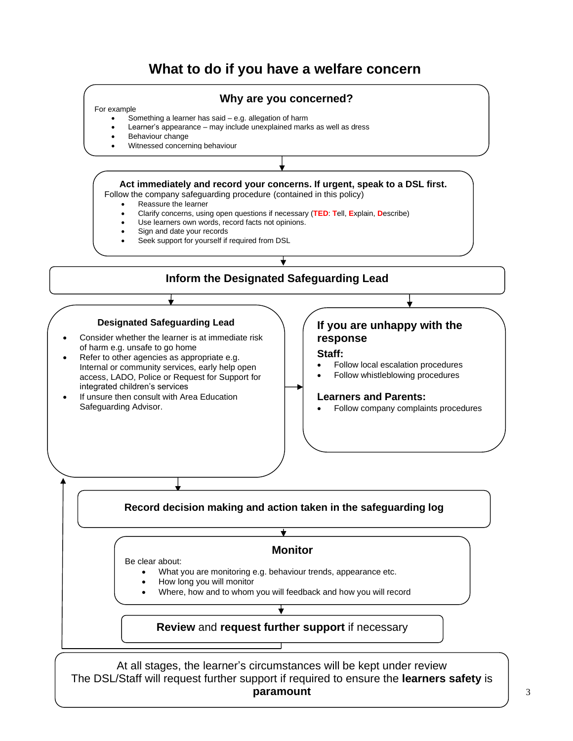# **What to do if you have a welfare concern**



**paramount**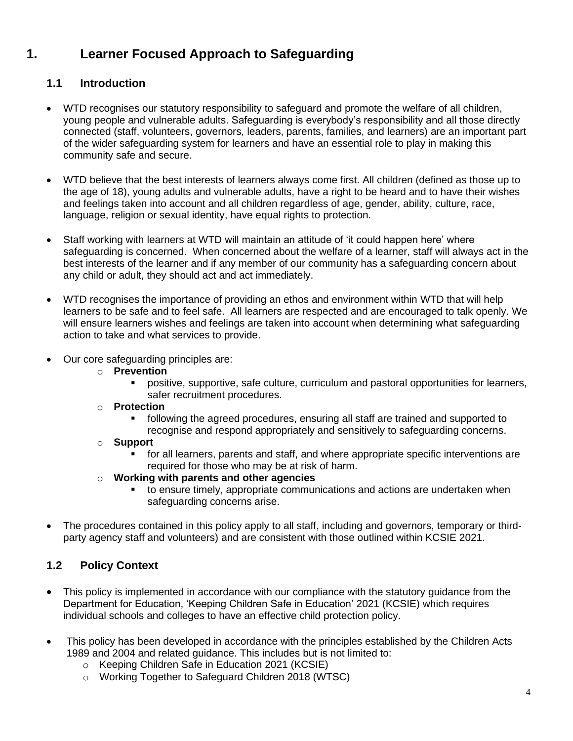# **1. Learner Focused Approach to Safeguarding**

## **1.1 Introduction**

- WTD recognises our statutory responsibility to safeguard and promote the welfare of all children, young people and vulnerable adults. Safeguarding is everybody's responsibility and all those directly connected (staff, volunteers, governors, leaders, parents, families, and learners) are an important part of the wider safeguarding system for learners and have an essential role to play in making this community safe and secure.
- WTD believe that the best interests of learners always come first. All children (defined as those up to the age of 18), young adults and vulnerable adults, have a right to be heard and to have their wishes and feelings taken into account and all children regardless of age, gender, ability, culture, race, language, religion or sexual identity, have equal rights to protection.
- Staff working with learners at WTD will maintain an attitude of 'it could happen here' where safeguarding is concerned. When concerned about the welfare of a learner, staff will always act in the best interests of the learner and if any member of our community has a safeguarding concern about any child or adult, they should act and act immediately.
- WTD recognises the importance of providing an ethos and environment within WTD that will help learners to be safe and to feel safe. All learners are respected and are encouraged to talk openly. We will ensure learners wishes and feelings are taken into account when determining what safeguarding action to take and what services to provide.
- Our core safeguarding principles are:
	- o **Prevention**
		- positive, supportive, safe culture, curriculum and pastoral opportunities for learners, safer recruitment procedures.
	- o **Protection**
		- following the agreed procedures, ensuring all staff are trained and supported to recognise and respond appropriately and sensitively to safeguarding concerns.
	- o **Support**
		- for all learners, parents and staff, and where appropriate specific interventions are required for those who may be at risk of harm.
	- o **Working with parents and other agencies**
		- to ensure timely, appropriate communications and actions are undertaken when safeguarding concerns arise.
- The procedures contained in this policy apply to all staff, including and governors, temporary or thirdparty agency staff and volunteers) and are consistent with those outlined within KCSIE 2021.

# **1.2 Policy Context**

- This policy is implemented in accordance with our compliance with the statutory quidance from the Department for Education, 'Keeping Children Safe in Education' 2021 (KCSIE) which requires individual schools and colleges to have an effective child protection policy.
- This policy has been developed in accordance with the principles established by the Children Acts 1989 and 2004 and related guidance. This includes but is not limited to:
	- o Keeping Children Safe in Education 2021 (KCSIE)
	- o Working Together to Safeguard Children 2018 (WTSC)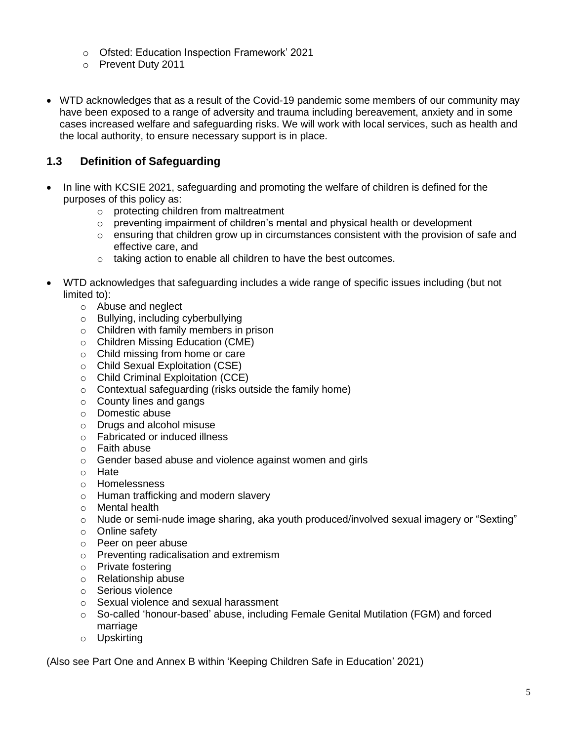- o Ofsted: Education Inspection Framework' 2021
- o Prevent Duty 2011
- WTD acknowledges that as a result of the Covid-19 pandemic some members of our community may have been exposed to a range of adversity and trauma including bereavement, anxiety and in some cases increased welfare and safeguarding risks. We will work with local services, such as health and the local authority, to ensure necessary support is in place.

# **1.3 Definition of Safeguarding**

- In line with KCSIE 2021, safeguarding and promoting the welfare of children is defined for the purposes of this policy as:
	- o protecting children from maltreatment
	- $\circ$  preventing impairment of children's mental and physical health or development
	- $\circ$  ensuring that children grow up in circumstances consistent with the provision of safe and effective care, and
	- o taking action to enable all children to have the best outcomes.
- WTD acknowledges that safeguarding includes a wide range of specific issues including (but not limited to):
	- o Abuse and neglect
	- o Bullying, including cyberbullying
	- o Children with family members in prison
	- o Children Missing Education (CME)
	- o Child missing from home or care
	- o Child Sexual Exploitation (CSE)
	- o Child Criminal Exploitation (CCE)
	- o Contextual safeguarding (risks outside the family home)
	- o County lines and gangs
	- o Domestic abuse
	- o Drugs and alcohol misuse
	- o Fabricated or induced illness
	- o Faith abuse
	- o Gender based abuse and violence against women and girls
	- o Hate
	- o Homelessness
	- o Human trafficking and modern slavery
	- o Mental health
	- o Nude or semi-nude image sharing, aka youth produced/involved sexual imagery or "Sexting"
	- o Online safety
	- o Peer on peer abuse
	- o Preventing radicalisation and extremism
	- o Private fostering
	- o Relationship abuse
	- o Serious violence
	- o Sexual violence and sexual harassment
	- o So-called 'honour-based' abuse, including Female Genital Mutilation (FGM) and forced marriage
	- o Upskirting

(Also see Part One and Annex B within 'Keeping Children Safe in Education' 2021)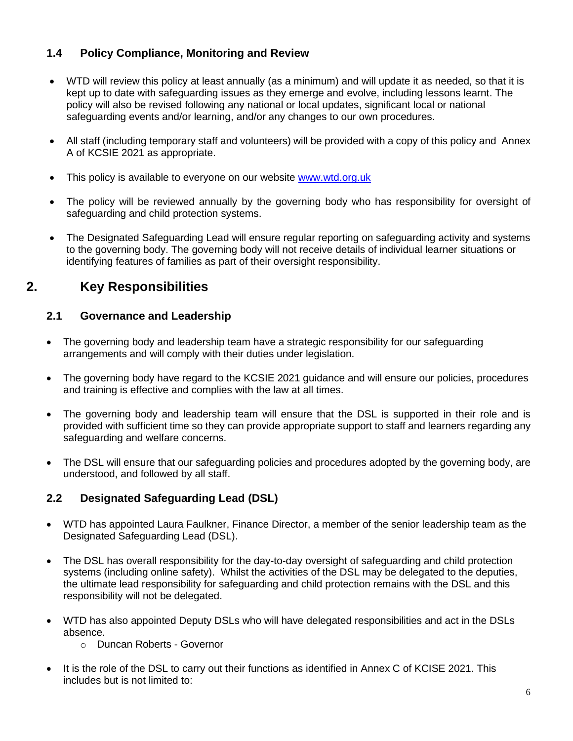# **1.4 Policy Compliance, Monitoring and Review**

- WTD will review this policy at least annually (as a minimum) and will update it as needed, so that it is kept up to date with safeguarding issues as they emerge and evolve, including lessons learnt. The policy will also be revised following any national or local updates, significant local or national safeguarding events and/or learning, and/or any changes to our own procedures.
- All staff (including temporary staff and volunteers) will be provided with a copy of this policy and Annex A of KCSIE 2021 as appropriate.
- This policy is available to everyone on our website [www.wtd.org.uk](http://www.wtd.org.uk/)
- The policy will be reviewed annually by the governing body who has responsibility for oversight of safeguarding and child protection systems.
- The Designated Safeguarding Lead will ensure regular reporting on safeguarding activity and systems to the governing body. The governing body will not receive details of individual learner situations or identifying features of families as part of their oversight responsibility.

# **2. Key Responsibilities**

#### **2.1 Governance and Leadership**

- The governing body and leadership team have a strategic responsibility for our safeguarding arrangements and will comply with their duties under legislation.
- The governing body have regard to the KCSIE 2021 guidance and will ensure our policies, procedures and training is effective and complies with the law at all times.
- The governing body and leadership team will ensure that the DSL is supported in their role and is provided with sufficient time so they can provide appropriate support to staff and learners regarding any safeguarding and welfare concerns.
- The DSL will ensure that our safeguarding policies and procedures adopted by the governing body, are understood, and followed by all staff.

## **2.2 Designated Safeguarding Lead (DSL)**

- WTD has appointed Laura Faulkner, Finance Director, a member of the senior leadership team as the Designated Safeguarding Lead (DSL).
- The DSL has overall responsibility for the day-to-day oversight of safeguarding and child protection systems (including online safety). Whilst the activities of the DSL may be delegated to the deputies, the ultimate lead responsibility for safeguarding and child protection remains with the DSL and this responsibility will not be delegated.
- WTD has also appointed Deputy DSLs who will have delegated responsibilities and act in the DSLs absence.
	- o Duncan Roberts Governor
- It is the role of the DSL to carry out their functions as identified in Annex C of KCISE 2021. This includes but is not limited to: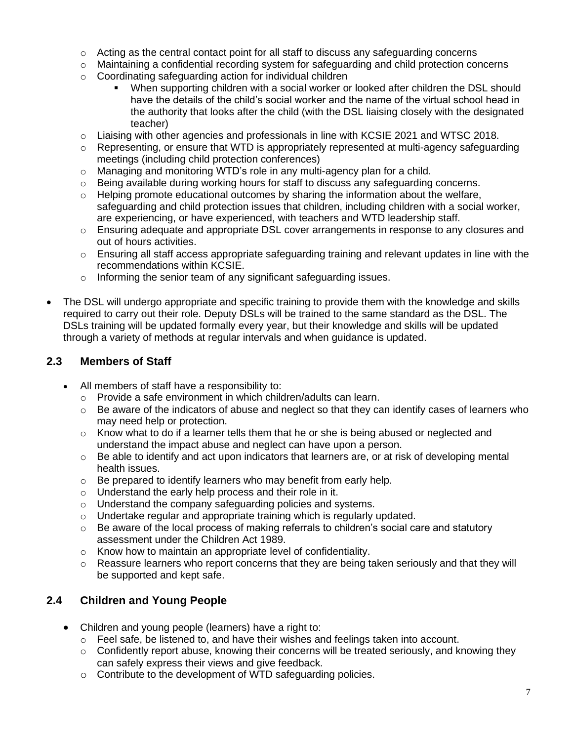- $\circ$  Acting as the central contact point for all staff to discuss any safeguarding concerns
- o Maintaining a confidential recording system for safeguarding and child protection concerns
- o Coordinating safeguarding action for individual children
	- When supporting children with a social worker or looked after children the DSL should have the details of the child's social worker and the name of the virtual school head in the authority that looks after the child (with the DSL liaising closely with the designated teacher)
- $\circ$  Liaising with other agencies and professionals in line with KCSIE 2021 and WTSC 2018.
- $\circ$  Representing, or ensure that WTD is appropriately represented at multi-agency safeguarding meetings (including child protection conferences)
- $\circ$  Managing and monitoring WTD's role in any multi-agency plan for a child.
- $\circ$  Being available during working hours for staff to discuss any safeguarding concerns.
- $\circ$  Helping promote educational outcomes by sharing the information about the welfare, safeguarding and child protection issues that children, including children with a social worker, are experiencing, or have experienced, with teachers and WTD leadership staff.
- $\circ$  Ensuring adequate and appropriate DSL cover arrangements in response to any closures and out of hours activities.
- $\circ$  Ensuring all staff access appropriate safeguarding training and relevant updates in line with the recommendations within KCSIE.
- o Informing the senior team of any significant safeguarding issues.
- The DSL will undergo appropriate and specific training to provide them with the knowledge and skills required to carry out their role. Deputy DSLs will be trained to the same standard as the DSL. The DSLs training will be updated formally every year, but their knowledge and skills will be updated through a variety of methods at regular intervals and when guidance is updated.

## **2.3 Members of Staff**

- All members of staff have a responsibility to:
	- o Provide a safe environment in which children/adults can learn.
	- $\circ$  Be aware of the indicators of abuse and neglect so that they can identify cases of learners who may need help or protection.
	- $\circ$  Know what to do if a learner tells them that he or she is being abused or neglected and understand the impact abuse and neglect can have upon a person.
	- $\circ$  Be able to identify and act upon indicators that learners are, or at risk of developing mental health issues.
	- o Be prepared to identify learners who may benefit from early help.
	- o Understand the early help process and their role in it.
	- o Understand the company safeguarding policies and systems.
	- o Undertake regular and appropriate training which is regularly updated.
	- $\circ$  Be aware of the local process of making referrals to children's social care and statutory assessment under the Children Act 1989.
	- o Know how to maintain an appropriate level of confidentiality.
	- $\circ$  Reassure learners who report concerns that they are being taken seriously and that they will be supported and kept safe.

## **2.4 Children and Young People**

- Children and young people (learners) have a right to:
	- $\circ$  Feel safe, be listened to, and have their wishes and feelings taken into account.
	- $\circ$  Confidently report abuse, knowing their concerns will be treated seriously, and knowing they can safely express their views and give feedback.
	- o Contribute to the development of WTD safeguarding policies.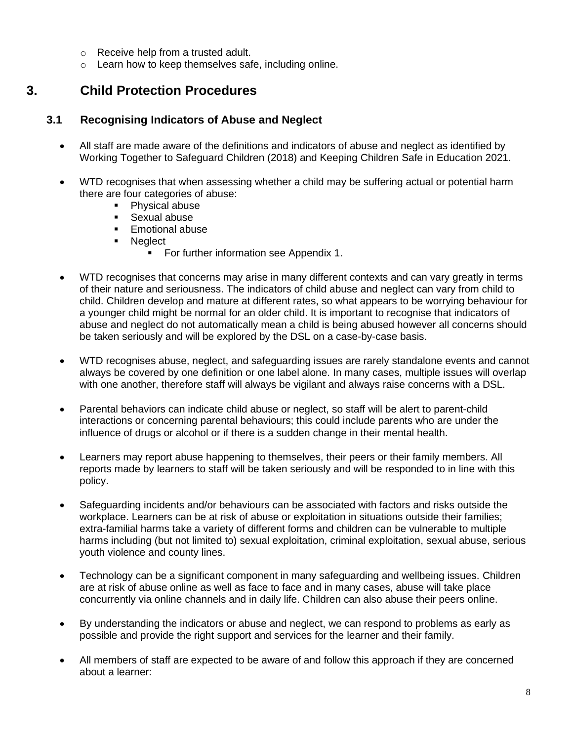- o Receive help from a trusted adult.
- o Learn how to keep themselves safe, including online.

# **3. Child Protection Procedures**

#### **3.1 Recognising Indicators of Abuse and Neglect**

- All staff are made aware of the definitions and indicators of abuse and neglect as identified by Working Together to Safeguard Children (2018) and Keeping Children Safe in Education 2021.
- WTD recognises that when assessing whether a child may be suffering actual or potential harm there are four categories of abuse:
	- Physical abuse
	- Sexual abuse
	- Emotional abuse
	- Neglect
		- For further information see Appendix 1.
- WTD recognises that concerns may arise in many different contexts and can vary greatly in terms of their nature and seriousness. The indicators of child abuse and neglect can vary from child to child. Children develop and mature at different rates, so what appears to be worrying behaviour for a younger child might be normal for an older child. It is important to recognise that indicators of abuse and neglect do not automatically mean a child is being abused however all concerns should be taken seriously and will be explored by the DSL on a case-by-case basis.
- WTD recognises abuse, neglect, and safeguarding issues are rarely standalone events and cannot always be covered by one definition or one label alone. In many cases, multiple issues will overlap with one another, therefore staff will always be vigilant and always raise concerns with a DSL.
- Parental behaviors can indicate child abuse or neglect, so staff will be alert to parent-child interactions or concerning parental behaviours; this could include parents who are under the influence of drugs or alcohol or if there is a sudden change in their mental health.
- Learners may report abuse happening to themselves, their peers or their family members. All reports made by learners to staff will be taken seriously and will be responded to in line with this policy.
- Safeguarding incidents and/or behaviours can be associated with factors and risks outside the workplace. Learners can be at risk of abuse or exploitation in situations outside their families; extra-familial harms take a variety of different forms and children can be vulnerable to multiple harms including (but not limited to) sexual exploitation, criminal exploitation, sexual abuse, serious youth violence and county lines.
- Technology can be a significant component in many safeguarding and wellbeing issues. Children are at risk of abuse online as well as face to face and in many cases, abuse will take place concurrently via online channels and in daily life. Children can also abuse their peers online.
- By understanding the indicators or abuse and neglect, we can respond to problems as early as possible and provide the right support and services for the learner and their family.
- All members of staff are expected to be aware of and follow this approach if they are concerned about a learner: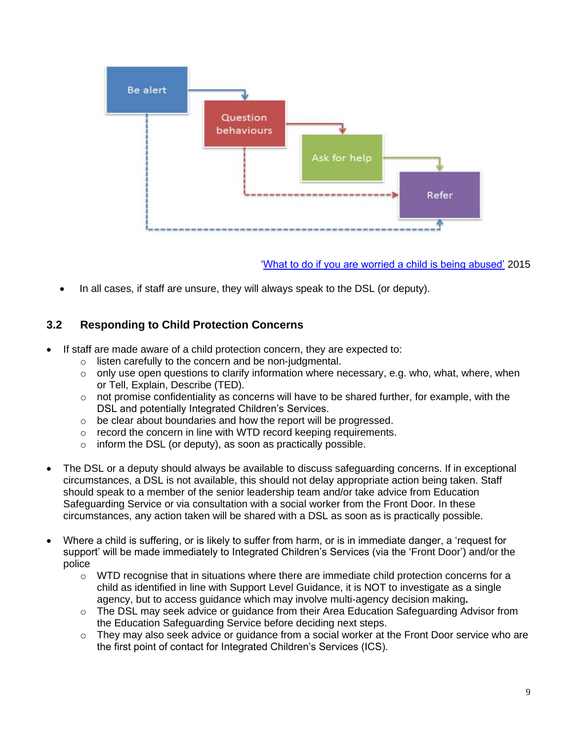

['What to do if you are worried a child is being abused'](https://www.gov.uk/government/publications/what-to-do-if-youre-worried-a-child-is-being-abused--2) 2015

• In all cases, if staff are unsure, they will always speak to the DSL (or deputy).

# **3.2 Responding to Child Protection Concerns**

- If staff are made aware of a child protection concern, they are expected to:
	- o listen carefully to the concern and be non-judgmental.
	- $\circ$  only use open questions to clarify information where necessary, e.g. who, what, where, when or Tell, Explain, Describe (TED).
	- $\circ$  not promise confidentiality as concerns will have to be shared further, for example, with the DSL and potentially Integrated Children's Services.
	- o be clear about boundaries and how the report will be progressed.
	- o record the concern in line with WTD record keeping requirements.
	- $\circ$  inform the DSL (or deputy), as soon as practically possible.
- The DSL or a deputy should always be available to discuss safeguarding concerns. If in exceptional circumstances, a DSL is not available, this should not delay appropriate action being taken. Staff should speak to a member of the senior leadership team and/or take advice from Education Safeguarding Service or via consultation with a social worker from the Front Door. In these circumstances, any action taken will be shared with a DSL as soon as is practically possible.
- Where a child is suffering, or is likely to suffer from harm, or is in immediate danger, a 'request for support' will be made immediately to Integrated Children's Services (via the 'Front Door') and/or the police
	- $\circ$  WTD recognise that in situations where there are immediate child protection concerns for a child as identified in line with Support Level Guidance, it is NOT to investigate as a single agency, but to access guidance which may involve multi-agency decision making**.**
	- $\circ$  The DSL may seek advice or guidance from their Area Education Safeguarding Advisor from the Education Safeguarding Service before deciding next steps.
	- $\circ$  They may also seek advice or guidance from a social worker at the Front Door service who are the first point of contact for Integrated Children's Services (ICS).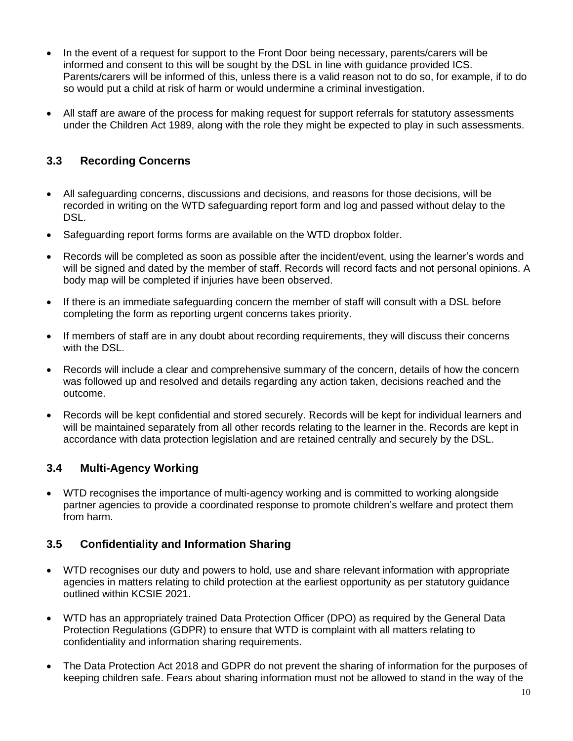- In the event of a request for support to the Front Door being necessary, parents/carers will be informed and consent to this will be sought by the DSL in line with guidance provided ICS. Parents/carers will be informed of this, unless there is a valid reason not to do so, for example, if to do so would put a child at risk of harm or would undermine a criminal investigation.
- All staff are aware of the process for making request for support referrals for statutory assessments under the Children Act 1989, along with the role they might be expected to play in such assessments.

# **3.3 Recording Concerns**

- All safeguarding concerns, discussions and decisions, and reasons for those decisions, will be recorded in writing on the WTD safeguarding report form and log and passed without delay to the DSL.
- Safeguarding report forms forms are available on the WTD dropbox folder.
- Records will be completed as soon as possible after the incident/event, using the learner's words and will be signed and dated by the member of staff. Records will record facts and not personal opinions. A body map will be completed if injuries have been observed.
- If there is an immediate safeguarding concern the member of staff will consult with a DSL before completing the form as reporting urgent concerns takes priority.
- If members of staff are in any doubt about recording requirements, they will discuss their concerns with the DSL.
- Records will include a clear and comprehensive summary of the concern, details of how the concern was followed up and resolved and details regarding any action taken, decisions reached and the outcome.
- Records will be kept confidential and stored securely. Records will be kept for individual learners and will be maintained separately from all other records relating to the learner in the. Records are kept in accordance with data protection legislation and are retained centrally and securely by the DSL.

## **3.4 Multi-Agency Working**

• WTD recognises the importance of multi-agency working and is committed to working alongside partner agencies to provide a coordinated response to promote children's welfare and protect them from harm.

## **3.5 Confidentiality and Information Sharing**

- WTD recognises our duty and powers to hold, use and share relevant information with appropriate agencies in matters relating to child protection at the earliest opportunity as per statutory guidance outlined within KCSIE 2021.
- WTD has an appropriately trained Data Protection Officer (DPO) as required by the General Data Protection Regulations (GDPR) to ensure that WTD is complaint with all matters relating to confidentiality and information sharing requirements.
- The Data Protection Act 2018 and GDPR do not prevent the sharing of information for the purposes of keeping children safe. Fears about sharing information must not be allowed to stand in the way of the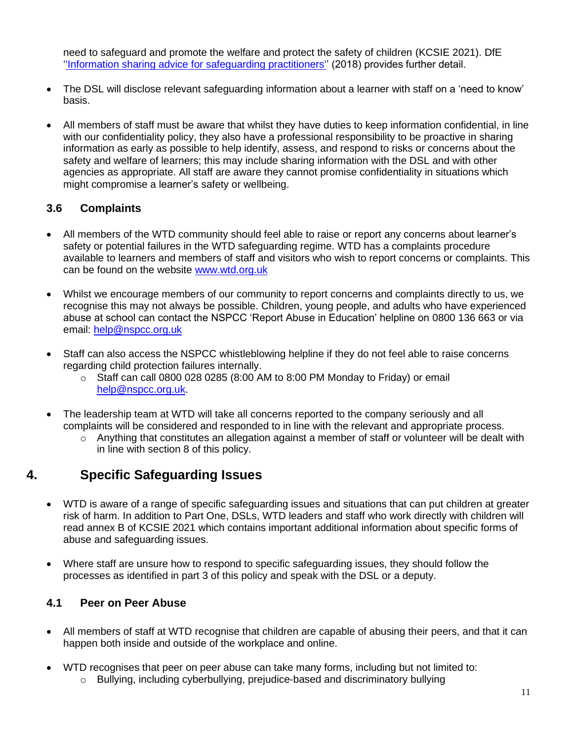need to safeguard and promote the welfare and protect the safety of children (KCSIE 2021). DfE [''Information sharing advice for safeguarding practitioners''](https://www.gov.uk/government/publications/safeguarding-practitioners-information-sharing-advice) (2018) provides further detail.

- The DSL will disclose relevant safeguarding information about a learner with staff on a 'need to know' basis.
- All members of staff must be aware that whilst they have duties to keep information confidential, in line with our confidentiality policy, they also have a professional responsibility to be proactive in sharing information as early as possible to help identify, assess, and respond to risks or concerns about the safety and welfare of learners; this may include sharing information with the DSL and with other agencies as appropriate. All staff are aware they cannot promise confidentiality in situations which might compromise a learner's safety or wellbeing.

# **3.6 Complaints**

- All members of the WTD community should feel able to raise or report any concerns about learner's safety or potential failures in the WTD safeguarding regime. WTD has a complaints procedure available to learners and members of staff and visitors who wish to report concerns or complaints. This can be found on the website [www.wtd.org.uk](http://www.wtd.org.uk/)
- Whilst we encourage members of our community to report concerns and complaints directly to us, we recognise this may not always be possible. Children, young people, and adults who have experienced abuse at school can contact the NSPCC 'Report Abuse in Education' helpline on [0800 136 663](tel:0800%20136%20663) or via email: [help@nspcc.org.uk](mailto:help@nspcc.org.uk)
- Staff can also access the NSPCC whistleblowing helpline if they do not feel able to raise concerns regarding child protection failures internally.
	- $\circ$  Staff can call 0800 028 0285 (8:00 AM to 8:00 PM Monday to Friday) or email [help@nspcc.org.uk.](mailto:help@nspcc.org.uk)
- The leadership team at WTD will take all concerns reported to the company seriously and all complaints will be considered and responded to in line with the relevant and appropriate process.
	- $\circ$  Anything that constitutes an allegation against a member of staff or volunteer will be dealt with in line with section 8 of this policy.

# **4. Specific Safeguarding Issues**

- WTD is aware of a range of specific safeguarding issues and situations that can put children at greater risk of harm. In addition to Part One, DSLs, WTD leaders and staff who work directly with children will read annex B of KCSIE 2021 which contains important additional information about specific forms of abuse and safeguarding issues.
- Where staff are unsure how to respond to specific safeguarding issues, they should follow the processes as identified in part 3 of this policy and speak with the DSL or a deputy.

## **4.1 Peer on Peer Abuse**

- All members of staff at WTD recognise that children are capable of abusing their peers, and that it can happen both inside and outside of the workplace and online.
- WTD recognises that peer on peer abuse can take many forms, including but not limited to:
	- o Bullying, including cyberbullying, prejudice-based and discriminatory bullying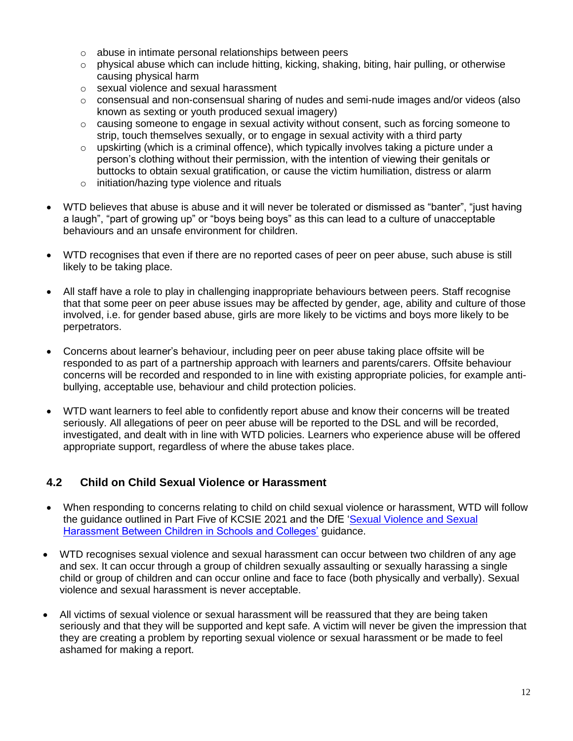- o abuse in intimate personal relationships between peers
- $\circ$  physical abuse which can include hitting, kicking, shaking, biting, hair pulling, or otherwise causing physical harm
- o sexual violence and sexual harassment
- $\circ$  consensual and non-consensual sharing of nudes and semi-nude images and/or videos (also known as sexting or youth produced sexual imagery)
- $\circ$  causing someone to engage in sexual activity without consent, such as forcing someone to strip, touch themselves sexually, or to engage in sexual activity with a third party
- $\circ$  upskirting (which is a criminal offence), which typically involves taking a picture under a person's clothing without their permission, with the intention of viewing their genitals or buttocks to obtain sexual gratification, or cause the victim humiliation, distress or alarm
- o initiation/hazing type violence and rituals
- WTD believes that abuse is abuse and it will never be tolerated or dismissed as "banter", "just having a laugh", "part of growing up" or "boys being boys" as this can lead to a culture of unacceptable behaviours and an unsafe environment for children.
- WTD recognises that even if there are no reported cases of peer on peer abuse, such abuse is still likely to be taking place.
- All staff have a role to play in challenging inappropriate behaviours between peers. Staff recognise that that some peer on peer abuse issues may be affected by gender, age, ability and culture of those involved, i.e. for gender based abuse, girls are more likely to be victims and boys more likely to be perpetrators.
- Concerns about learner's behaviour, including peer on peer abuse taking place offsite will be responded to as part of a partnership approach with learners and parents/carers. Offsite behaviour concerns will be recorded and responded to in line with existing appropriate policies, for example antibullying, acceptable use, behaviour and child protection policies.
- WTD want learners to feel able to confidently report abuse and know their concerns will be treated seriously. All allegations of peer on peer abuse will be reported to the DSL and will be recorded, investigated, and dealt with in line with WTD policies. Learners who experience abuse will be offered appropriate support, regardless of where the abuse takes place.

## **4.2 Child on Child Sexual Violence or Harassment**

- When responding to concerns relating to child on child sexual violence or harassment, WTD will follow the guidance outlined in Part Five of KCSIE 2021 and the DfE ['Sexual Violence and Sexual](https://www.gov.uk/government/publications/sexual-violence-and-sexual-harassment-between-children-in-schools-and-colleges)  [Harassment Between Children in Schools and Colleges'](https://www.gov.uk/government/publications/sexual-violence-and-sexual-harassment-between-children-in-schools-and-colleges) guidance.
- WTD recognises sexual violence and sexual harassment can occur between two children of any age and sex. It can occur through a group of children sexually assaulting or sexually harassing a single child or group of children and can occur online and face to face (both physically and verbally). Sexual violence and sexual harassment is never acceptable.
- All victims of sexual violence or sexual harassment will be reassured that they are being taken seriously and that they will be supported and kept safe. A victim will never be given the impression that they are creating a problem by reporting sexual violence or sexual harassment or be made to feel ashamed for making a report.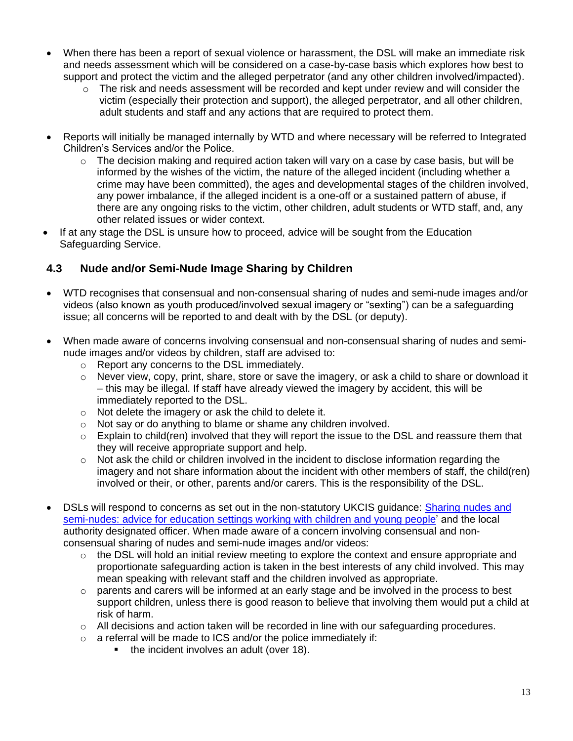- When there has been a report of sexual violence or harassment, the DSL will make an immediate risk and needs assessment which will be considered on a case-by-case basis which explores how best to support and protect the victim and the alleged perpetrator (and any other children involved/impacted).
	- $\circ$  The risk and needs assessment will be recorded and kept under review and will consider the victim (especially their protection and support), the alleged perpetrator, and all other children, adult students and staff and any actions that are required to protect them.
- Reports will initially be managed internally by WTD and where necessary will be referred to Integrated Children's Services and/or the Police.
	- $\circ$  The decision making and required action taken will vary on a case by case basis, but will be informed by the wishes of the victim, the nature of the alleged incident (including whether a crime may have been committed), the ages and developmental stages of the children involved, any power imbalance, if the alleged incident is a one-off or a sustained pattern of abuse, if there are any ongoing risks to the victim, other children, adult students or WTD staff, and, any other related issues or wider context.
- If at any stage the DSL is unsure how to proceed, advice will be sought from the Education Safeguarding Service.

#### **4.3 Nude and/or Semi-Nude Image Sharing by Children**

- WTD recognises that consensual and non-consensual sharing of nudes and semi-nude images and/or videos (also known as youth produced/involved sexual imagery or "sexting") can be a safeguarding issue; all concerns will be reported to and dealt with by the DSL (or deputy).
- When made aware of concerns involving consensual and non-consensual sharing of nudes and seminude images and/or videos by children, staff are advised to:
	- o Report any concerns to the DSL immediately.
	- $\circ$  Never view, copy, print, share, store or save the imagery, or ask a child to share or download it – this may be illegal. If staff have already viewed the imagery by accident, this will be immediately reported to the DSL.
	- o Not delete the imagery or ask the child to delete it.
	- o Not say or do anything to blame or shame any children involved.
	- $\circ$  Explain to child(ren) involved that they will report the issue to the DSL and reassure them that they will receive appropriate support and help.
	- $\circ$  Not ask the child or children involved in the incident to disclose information regarding the imagery and not share information about the incident with other members of staff, the child(ren) involved or their, or other, parents and/or carers. This is the responsibility of the DSL.
- DSLs will respond to concerns as set out in the non-statutory UKCIS guidance: [Sharing nudes and](https://www.gov.uk/government/publications/sharing-nudes-and-semi-nudes-advice-for-education-settings-working-with-children-and-young-people)  [semi-nudes: advice for education settings working with children and young people'](https://www.gov.uk/government/publications/sharing-nudes-and-semi-nudes-advice-for-education-settings-working-with-children-and-young-people) and the local authority designated officer. When made aware of a concern involving consensual and nonconsensual sharing of nudes and semi-nude images and/or videos:
	- $\circ$  the DSL will hold an initial review meeting to explore the context and ensure appropriate and proportionate safeguarding action is taken in the best interests of any child involved. This may mean speaking with relevant staff and the children involved as appropriate.
	- $\circ$  parents and carers will be informed at an early stage and be involved in the process to best support children, unless there is good reason to believe that involving them would put a child at risk of harm.
	- $\circ$  All decisions and action taken will be recorded in line with our safeguarding procedures.
	- $\circ$  a referral will be made to ICS and/or the police immediately if:
		- the incident involves an adult (over 18).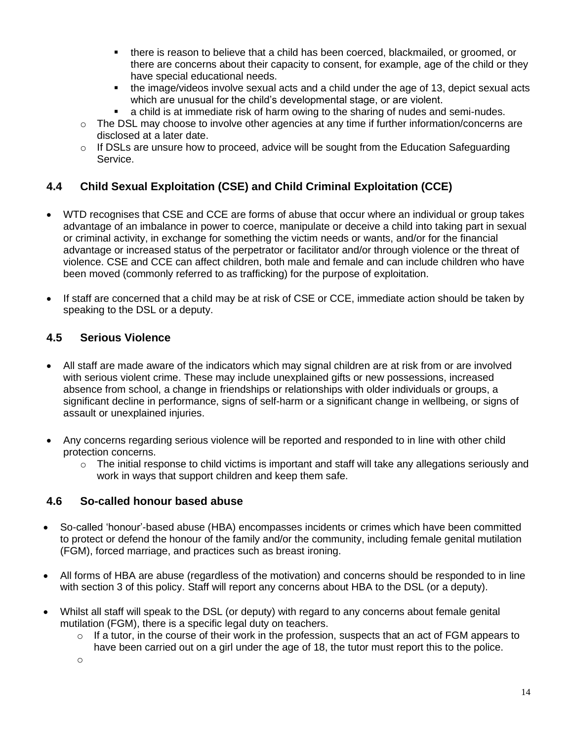- there is reason to believe that a child has been coerced, blackmailed, or groomed, or there are concerns about their capacity to consent, for example, age of the child or they have special educational needs.
- the image/videos involve sexual acts and a child under the age of 13, depict sexual acts which are unusual for the child's developmental stage, or are violent.
- a child is at immediate risk of harm owing to the sharing of nudes and semi-nudes.
- $\circ$  The DSL may choose to involve other agencies at any time if further information/concerns are disclosed at a later date.
- $\circ$  If DSLs are unsure how to proceed, advice will be sought from the Education Safeguarding Service.

## **4.4 Child Sexual Exploitation (CSE) and Child Criminal Exploitation (CCE)**

- WTD recognises that CSE and CCE are forms of abuse that occur where an individual or group takes advantage of an imbalance in power to coerce, manipulate or deceive a child into taking part in sexual or criminal activity, in exchange for something the victim needs or wants, and/or for the financial advantage or increased status of the perpetrator or facilitator and/or through violence or the threat of violence. CSE and CCE can affect children, both male and female and can include children who have been moved (commonly referred to as trafficking) for the purpose of exploitation.
- If staff are concerned that a child may be at risk of CSE or CCE, immediate action should be taken by speaking to the DSL or a deputy.

#### **4.5 Serious Violence**

- All staff are made aware of the indicators which may signal children are at risk from or are involved with serious violent crime. These may include unexplained gifts or new possessions, increased absence from school, a change in friendships or relationships with older individuals or groups, a significant decline in performance, signs of self-harm or a significant change in wellbeing, or signs of assault or unexplained injuries.
- Any concerns regarding serious violence will be reported and responded to in line with other child protection concerns.
	- o The initial response to child victims is important and staff will take any allegations seriously and work in ways that support children and keep them safe.

## **4.6 So-called honour based abuse**

- So-called 'honour'-based abuse (HBA) encompasses incidents or crimes which have been committed to protect or defend the honour of the family and/or the community, including female genital mutilation (FGM), forced marriage, and practices such as breast ironing.
- All forms of HBA are abuse (regardless of the motivation) and concerns should be responded to in line with section 3 of this policy. Staff will report any concerns about HBA to the DSL (or a deputy).
- Whilst all staff will speak to the DSL (or deputy) with regard to any concerns about female genital mutilation (FGM), there is a specific legal duty on teachers.
	- $\circ$  If a tutor, in the course of their work in the profession, suspects that an act of FGM appears to have been carried out on a girl under the age of 18, the tutor must report this to the police.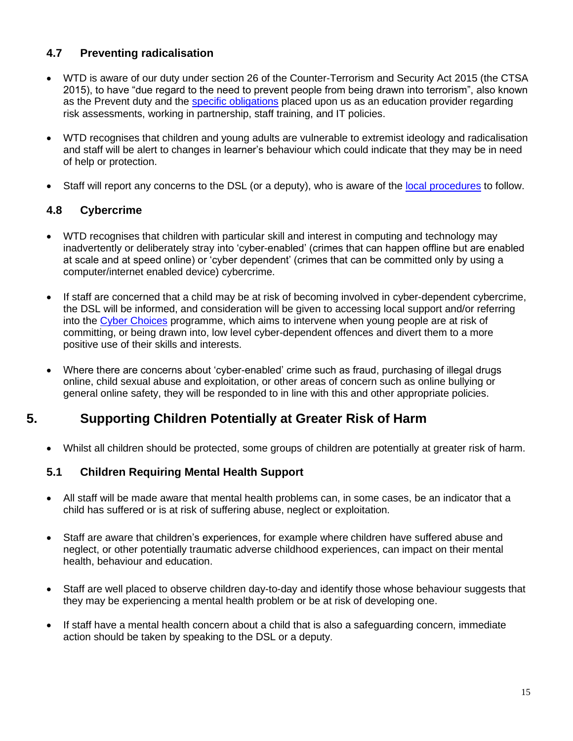## **4.7 Preventing radicalisation**

- WTD is aware of our duty under section 26 of the Counter-Terrorism and Security Act 2015 (the CTSA 2015), to have "due regard to the need to prevent people from being drawn into terrorism", also known as the Prevent duty and the **specific obligations** placed upon us as an education provider regarding risk assessments, working in partnership, staff training, and IT policies.
- WTD recognises that children and young adults are vulnerable to extremist ideology and radicalisation and staff will be alert to changes in learner's behaviour which could indicate that they may be in need of help or protection.
- Staff will report any concerns to the DSL (or a deputy), who is aware of the [local procedures](https://www.kelsi.org.uk/child-protection-and-safeguarding/prevent-within-schools) to follow.

# **4.8 Cybercrime**

- WTD recognises that children with particular skill and interest in computing and technology may inadvertently or deliberately stray into 'cyber-enabled' (crimes that can happen offline but are enabled at scale and at speed online) or 'cyber dependent' (crimes that can be committed only by using a computer/internet enabled device) cybercrime.
- If staff are concerned that a child may be at risk of becoming involved in cyber-dependent cybercrime, the DSL will be informed, and consideration will be given to accessing local support and/or referring into the [Cyber Choices](http://www.cyberchoices.uk/) programme, which aims to intervene when young people are at risk of committing, or being drawn into, low level cyber-dependent offences and divert them to a more positive use of their skills and interests.
- Where there are concerns about 'cyber-enabled' crime such as fraud, purchasing of illegal drugs online, child sexual abuse and exploitation, or other areas of concern such as online bullying or general online safety, they will be responded to in line with this and other appropriate policies.

# **5. Supporting Children Potentially at Greater Risk of Harm**

• Whilst all children should be protected, some groups of children are potentially at greater risk of harm.

## **5.1 Children Requiring Mental Health Support**

- All staff will be made aware that mental health problems can, in some cases, be an indicator that a child has suffered or is at risk of suffering abuse, neglect or exploitation.
- Staff are aware that children's experiences, for example where children have suffered abuse and neglect, or other potentially traumatic adverse childhood experiences, can impact on their mental health, behaviour and education.
- Staff are well placed to observe children day-to-day and identify those whose behaviour suggests that they may be experiencing a mental health problem or be at risk of developing one.
- If staff have a mental health concern about a child that is also a safeguarding concern, immediate action should be taken by speaking to the DSL or a deputy.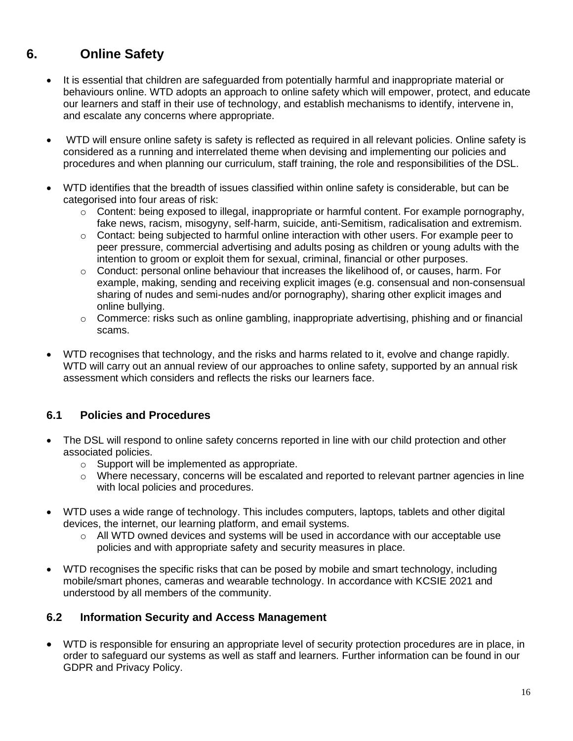# **6. Online Safety**

- It is essential that children are safeguarded from potentially harmful and inappropriate material or behaviours online. WTD adopts an approach to online safety which will empower, protect, and educate our learners and staff in their use of technology, and establish mechanisms to identify, intervene in, and escalate any concerns where appropriate.
- WTD will ensure online safety is safety is reflected as required in all relevant policies. Online safety is considered as a running and interrelated theme when devising and implementing our policies and procedures and when planning our curriculum, staff training, the role and responsibilities of the DSL.
- WTD identifies that the breadth of issues classified within online safety is considerable, but can be categorised into four areas of risk:
	- o Content: being exposed to illegal, inappropriate or harmful content. For example pornography, fake news, racism, misogyny, self-harm, suicide, anti-Semitism, radicalisation and extremism.
	- $\circ$  Contact: being subjected to harmful online interaction with other users. For example peer to peer pressure, commercial advertising and adults posing as children or young adults with the intention to groom or exploit them for sexual, criminal, financial or other purposes.
	- $\circ$  Conduct: personal online behaviour that increases the likelihood of, or causes, harm. For example, making, sending and receiving explicit images (e.g. consensual and non-consensual sharing of nudes and semi-nudes and/or pornography), sharing other explicit images and online bullying.
	- $\circ$  Commerce: risks such as online gambling, inappropriate advertising, phishing and or financial scams.
- WTD recognises that technology, and the risks and harms related to it, evolve and change rapidly. WTD will carry out an annual review of our approaches to online safety, supported by an annual risk assessment which considers and reflects the risks our learners face.

## **6.1 Policies and Procedures**

- The DSL will respond to online safety concerns reported in line with our child protection and other associated policies.
	- o Support will be implemented as appropriate.
	- o Where necessary, concerns will be escalated and reported to relevant partner agencies in line with local policies and procedures.
- WTD uses a wide range of technology. This includes computers, laptops, tablets and other digital devices, the internet, our learning platform, and email systems.
	- o All WTD owned devices and systems will be used in accordance with our acceptable use policies and with appropriate safety and security measures in place.
- WTD recognises the specific risks that can be posed by mobile and smart technology, including mobile/smart phones, cameras and wearable technology. In accordance with KCSIE 2021 and understood by all members of the community.

## **6.2 Information Security and Access Management**

• WTD is responsible for ensuring an appropriate level of security protection procedures are in place, in order to safeguard our systems as well as staff and learners. Further information can be found in our GDPR and Privacy Policy.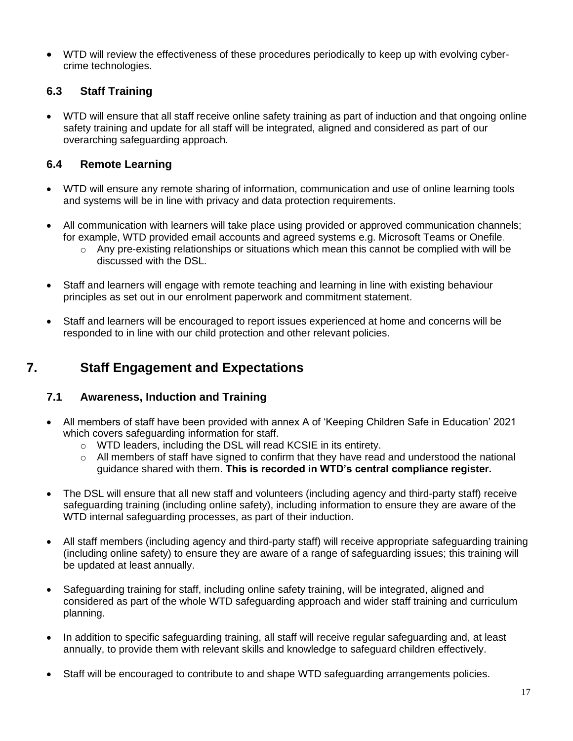• WTD will review the effectiveness of these procedures periodically to keep up with evolving cybercrime technologies.

# **6.3 Staff Training**

• WTD will ensure that all staff receive online safety training as part of induction and that ongoing online safety training and update for all staff will be integrated, aligned and considered as part of our overarching safeguarding approach.

## **6.4 Remote Learning**

- WTD will ensure any remote sharing of information, communication and use of online learning tools and systems will be in line with privacy and data protection requirements.
- All communication with learners will take place using provided or approved communication channels; for example, WTD provided email accounts and agreed systems e.g. Microsoft Teams or Onefile.
	- o Any pre-existing relationships or situations which mean this cannot be complied with will be discussed with the DSL.
- Staff and learners will engage with remote teaching and learning in line with existing behaviour principles as set out in our enrolment paperwork and commitment statement.
- Staff and learners will be encouraged to report issues experienced at home and concerns will be responded to in line with our child protection and other relevant policies.

# **7. Staff Engagement and Expectations**

## **7.1 Awareness, Induction and Training**

- All members of staff have been provided with annex A of 'Keeping Children Safe in Education' 2021 which covers safeguarding information for staff.
	- o WTD leaders, including the DSL will read KCSIE in its entirety.
	- $\circ$  All members of staff have signed to confirm that they have read and understood the national guidance shared with them. **This is recorded in WTD's central compliance register.**
- The DSL will ensure that all new staff and volunteers (including agency and third-party staff) receive safeguarding training (including online safety), including information to ensure they are aware of the WTD internal safeguarding processes, as part of their induction.
- All staff members (including agency and third-party staff) will receive appropriate safeguarding training (including online safety) to ensure they are aware of a range of safeguarding issues; this training will be updated at least annually.
- Safeguarding training for staff, including online safety training, will be integrated, aligned and considered as part of the whole WTD safeguarding approach and wider staff training and curriculum planning.
- In addition to specific safeguarding training, all staff will receive regular safeguarding and, at least annually, to provide them with relevant skills and knowledge to safeguard children effectively.
- Staff will be encouraged to contribute to and shape WTD safeguarding arrangements policies.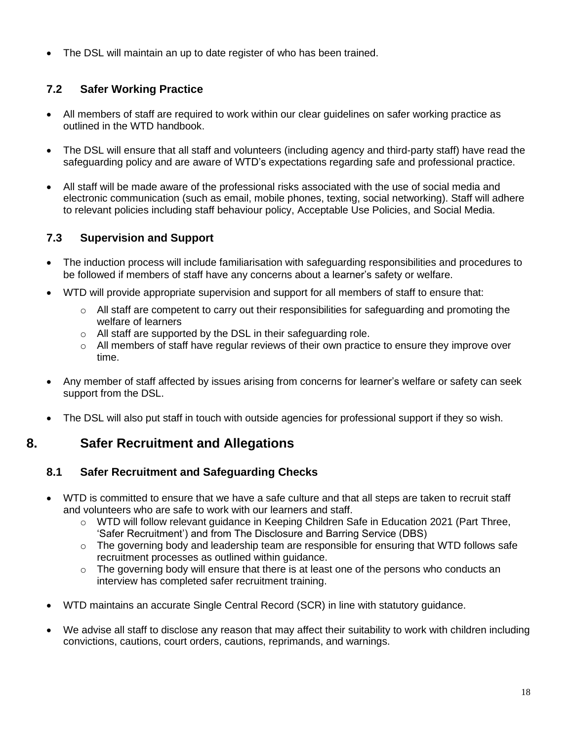• The DSL will maintain an up to date register of who has been trained.

# **7.2 Safer Working Practice**

- All members of staff are required to work within our clear guidelines on safer working practice as outlined in the WTD handbook.
- The DSL will ensure that all staff and volunteers (including agency and third-party staff) have read the safeguarding policy and are aware of WTD's expectations regarding safe and professional practice.
- All staff will be made aware of the professional risks associated with the use of social media and electronic communication (such as email, mobile phones, texting, social networking). Staff will adhere to relevant policies including staff behaviour policy, Acceptable Use Policies, and Social Media.

# **7.3 Supervision and Support**

- The induction process will include familiarisation with safeguarding responsibilities and procedures to be followed if members of staff have any concerns about a learner's safety or welfare.
- WTD will provide appropriate supervision and support for all members of staff to ensure that:
	- $\circ$  All staff are competent to carry out their responsibilities for safeguarding and promoting the welfare of learners
	- o All staff are supported by the DSL in their safeguarding role.
	- $\circ$  All members of staff have regular reviews of their own practice to ensure they improve over time.
- Any member of staff affected by issues arising from concerns for learner's welfare or safety can seek support from the DSL.
- The DSL will also put staff in touch with outside agencies for professional support if they so wish.

# **8. Safer Recruitment and Allegations**

# **8.1 Safer Recruitment and Safeguarding Checks**

- WTD is committed to ensure that we have a safe culture and that all steps are taken to recruit staff and volunteers who are safe to work with our learners and staff.
	- o WTD will follow relevant guidance in Keeping Children Safe in Education 2021 (Part Three, 'Safer Recruitment') and from The Disclosure and Barring Service (DBS)
	- $\circ$  The governing body and leadership team are responsible for ensuring that WTD follows safe recruitment processes as outlined within guidance.
	- $\circ$  The governing body will ensure that there is at least one of the persons who conducts an interview has completed safer recruitment training.
- WTD maintains an accurate Single Central Record (SCR) in line with statutory guidance.
- We advise all staff to disclose any reason that may affect their suitability to work with children including convictions, cautions, court orders, cautions, reprimands, and warnings.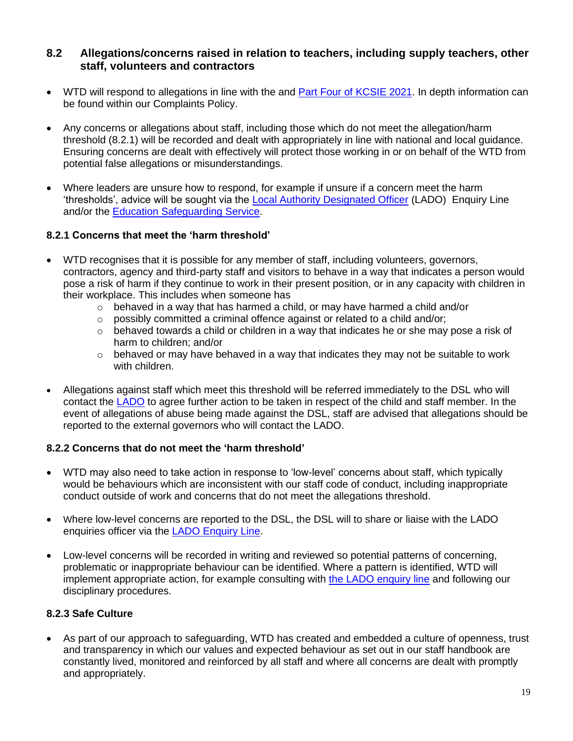#### **8.2 Allegations/concerns raised in relation to teachers, including supply teachers, other staff, volunteers and contractors**

- WTD will respond to allegations in line with the and **Part Four of KCSIE 2021**. In depth information can be found within our Complaints Policy.
- Any concerns or allegations about staff, including those which do not meet the allegation/harm threshold (8.2.1) will be recorded and dealt with appropriately in line with national and local guidance. Ensuring concerns are dealt with effectively will protect those working in or on behalf of the WTD from potential false allegations or misunderstandings.
- Where leaders are unsure how to respond, for example if unsure if a concern meet the harm 'thresholds', advice will be sought via the [Local Authority Designated Officer](https://www.kscmp.org.uk/procedures/local-authority-designated-officer-lado) (LADO) Enquiry Line and/or the [Education Safeguarding Service.](https://www.theeducationpeople.org/our-expertise/safeguarding/safeguarding-contacts/)

#### **8.2.1 Concerns that meet the 'harm threshold'**

- WTD recognises that it is possible for any member of staff, including volunteers, governors, contractors, agency and third-party staff and visitors to behave in a way that indicates a person would pose a risk of harm if they continue to work in their present position, or in any capacity with children in their workplace. This includes when someone has
	- $\circ$  behaved in a way that has harmed a child, or may have harmed a child and/or
	- o possibly committed a criminal offence against or related to a child and/or;
	- $\circ$  behaved towards a child or children in a way that indicates he or she may pose a risk of harm to children; and/or
	- $\circ$  behaved or may have behaved in a way that indicates they may not be suitable to work with children.
- Allegations against staff which meet this threshold will be referred immediately to the DSL who will contact the [LADO](https://www.kscmp.org.uk/procedures/local-authority-designated-officer-lado) to agree further action to be taken in respect of the child and staff member. In the event of allegations of abuse being made against the DSL, staff are advised that allegations should be reported to the external governors who will contact the LADO.

#### **8.2.2 Concerns that do not meet the 'harm threshold'**

- WTD may also need to take action in response to 'low-level' concerns about staff, which typically would be behaviours which are inconsistent with our staff code of conduct, including inappropriate conduct outside of work and concerns that do not meet the allegations threshold.
- Where low-level concerns are reported to the DSL, the DSL will to share or liaise with the LADO enquiries officer via the [LADO Enquiry Line.](https://eur01.safelinks.protection.outlook.com/?url=https%3A%2F%2Fwww.kscmp.org.uk%2Fprocedures%2Flocal-authority-designated-officer-lado&data=04%7C01%7CAlison.Watling%40kent.gov.uk%7Cefd47327a4fa4b3a972708d950d61f12%7C3253a20dc7354bfea8b73e6ab37f5f90%7C0%7C0%7C637629703166084747%7CUnknown%7CTWFpbGZsb3d8eyJWIjoiMC4wLjAwMDAiLCJQIjoiV2luMzIiLCJBTiI6Ik1haWwiLCJXVCI6Mn0%3D%7C1000&sdata=gh4qmYZ5N3khjaixDrEVQntTOJ74wGAlZxO%2FQDEudf0%3D&reserved=0)
- Low-level concerns will be recorded in writing and reviewed so potential patterns of concerning, problematic or inappropriate behaviour can be identified. Where a pattern is identified, WTD will implement appropriate action, for example consulting with the LADO [enquiry line](https://www.kscmp.org.uk/procedures/local-authority-designated-officer-lado) and following our disciplinary procedures.

#### **8.2.3 Safe Culture**

• As part of our approach to safeguarding, WTD has created and embedded a culture of openness, trust and transparency in which our values and expected behaviour as set out in our staff handbook are constantly lived, monitored and reinforced by all staff and where all concerns are dealt with promptly and appropriately.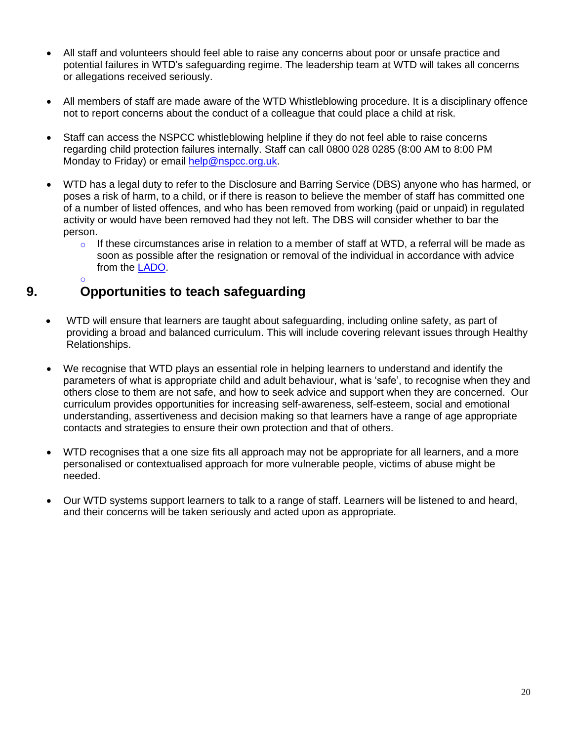- All staff and volunteers should feel able to raise any concerns about poor or unsafe practice and potential failures in WTD's safeguarding regime. The leadership team at WTD will takes all concerns or allegations received seriously.
- All members of staff are made aware of the WTD Whistleblowing procedure. It is a disciplinary offence not to report concerns about the conduct of a colleague that could place a child at risk.
- Staff can access the NSPCC whistleblowing helpline if they do not feel able to raise concerns regarding child protection failures internally. Staff can call 0800 028 0285 (8:00 AM to 8:00 PM Monday to Friday) or email [help@nspcc.org.uk.](mailto:help@nspcc.org.uk)
- WTD has a legal duty to refer to the Disclosure and Barring Service (DBS) anyone who has harmed, or poses a risk of harm, to a child, or if there is reason to believe the member of staff has committed one of a number of listed offences, and who has been removed from working (paid or unpaid) in regulated activity or would have been removed had they not left. The DBS will consider whether to bar the person.
	- $\circ$  If these circumstances arise in relation to a member of staff at WTD, a referral will be made as soon as possible after the resignation or removal of the individual in accordance with advice from the [LADO.](https://www.kscmp.org.uk/procedures/local-authority-designated-officer-lado)

#### o **9. Opportunities to teach safeguarding**

- WTD will ensure that learners are taught about safeguarding, including online safety, as part of providing a broad and balanced curriculum. This will include covering relevant issues through Healthy Relationships.
- We recognise that WTD plays an essential role in helping learners to understand and identify the parameters of what is appropriate child and adult behaviour, what is 'safe', to recognise when they and others close to them are not safe, and how to seek advice and support when they are concerned. Our curriculum provides opportunities for increasing self-awareness, self-esteem, social and emotional understanding, assertiveness and decision making so that learners have a range of age appropriate contacts and strategies to ensure their own protection and that of others.
- WTD recognises that a one size fits all approach may not be appropriate for all learners, and a more personalised or contextualised approach for more vulnerable people, victims of abuse might be needed.
- Our WTD systems support learners to talk to a range of staff. Learners will be listened to and heard, and their concerns will be taken seriously and acted upon as appropriate.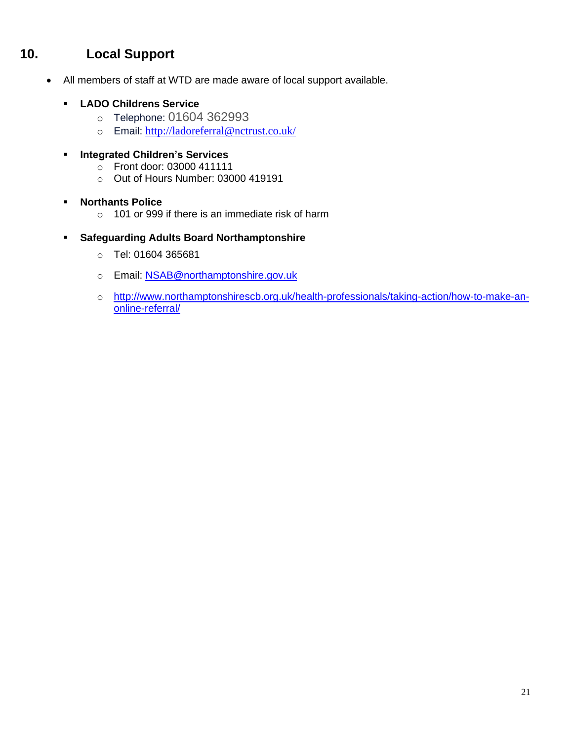# **10. Local Support**

- All members of staff at WTD are made aware of local support available.
	- **LADO Childrens Service**
		- o Telephone: 01604 362993
		- o Email: <http://ladoreferral@nctrust.co.uk/>
	- **Integrated Children's Services** 
		- o Front door: 03000 411111
		- o Out of Hours Number: 03000 419191

#### ▪ **Northants Police**

- o 101 or 999 if there is an immediate risk of harm
- **Safeguarding Adults Board Northamptonshire**
	- o Tel: 01604 365681
	- o Email: **NSAB@northamptonshire.gov.uk**
	- o [http://www.northamptonshirescb.org.uk/health-professionals/taking-action/how-to-make-an](http://www.northamptonshirescb.org.uk/health-professionals/taking-action/how-to-make-an-online-referral/)[online-referral/](http://www.northamptonshirescb.org.uk/health-professionals/taking-action/how-to-make-an-online-referral/)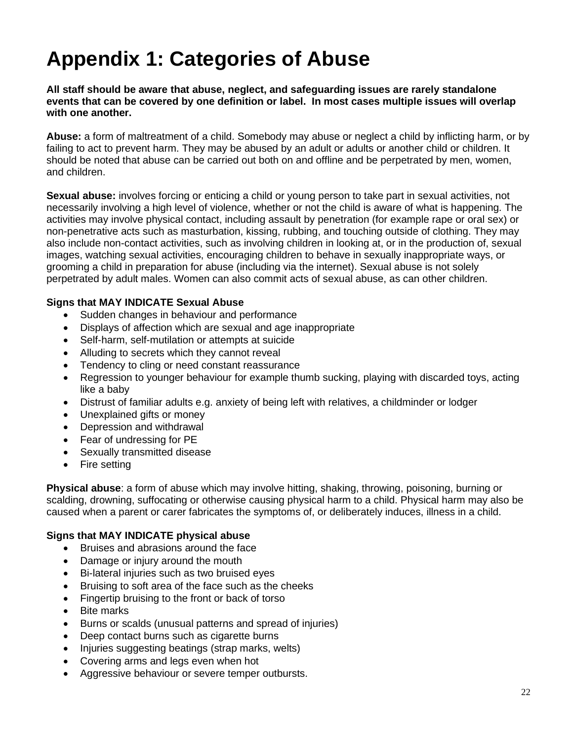# **Appendix 1: Categories of Abuse**

**All staff should be aware that abuse, neglect, and safeguarding issues are rarely standalone events that can be covered by one definition or label. In most cases multiple issues will overlap with one another.**

**Abuse:** a form of maltreatment of a child. Somebody may abuse or neglect a child by inflicting harm, or by failing to act to prevent harm. They may be abused by an adult or adults or another child or children. It should be noted that abuse can be carried out both on and offline and be perpetrated by men, women, and children.

**Sexual abuse:** involves forcing or enticing a child or young person to take part in sexual activities, not necessarily involving a high level of violence, whether or not the child is aware of what is happening. The activities may involve physical contact, including assault by penetration (for example rape or oral sex) or non-penetrative acts such as masturbation, kissing, rubbing, and touching outside of clothing. They may also include non-contact activities, such as involving children in looking at, or in the production of, sexual images, watching sexual activities, encouraging children to behave in sexually inappropriate ways, or grooming a child in preparation for abuse (including via the internet). Sexual abuse is not solely perpetrated by adult males. Women can also commit acts of sexual abuse, as can other children.

#### **Signs that MAY INDICATE Sexual Abuse**

- Sudden changes in behaviour and performance
- Displays of affection which are sexual and age inappropriate
- Self-harm, self-mutilation or attempts at suicide
- Alluding to secrets which they cannot reveal
- Tendency to cling or need constant reassurance
- Regression to younger behaviour for example thumb sucking, playing with discarded toys, acting like a baby
- Distrust of familiar adults e.g. anxiety of being left with relatives, a childminder or lodger
- Unexplained gifts or money
- Depression and withdrawal
- Fear of undressing for PE
- Sexually transmitted disease
- Fire setting

**Physical abuse**: a form of abuse which may involve hitting, shaking, throwing, poisoning, burning or scalding, drowning, suffocating or otherwise causing physical harm to a child. Physical harm may also be caused when a parent or carer fabricates the symptoms of, or deliberately induces, illness in a child.

#### **Signs that MAY INDICATE physical abuse**

- Bruises and abrasions around the face
- Damage or injury around the mouth
- Bi-lateral injuries such as two bruised eyes
- Bruising to soft area of the face such as the cheeks
- Fingertip bruising to the front or back of torso
- Bite marks
- Burns or scalds (unusual patterns and spread of injuries)
- Deep contact burns such as cigarette burns
- Injuries suggesting beatings (strap marks, welts)
- Covering arms and legs even when hot
- Aggressive behaviour or severe temper outbursts.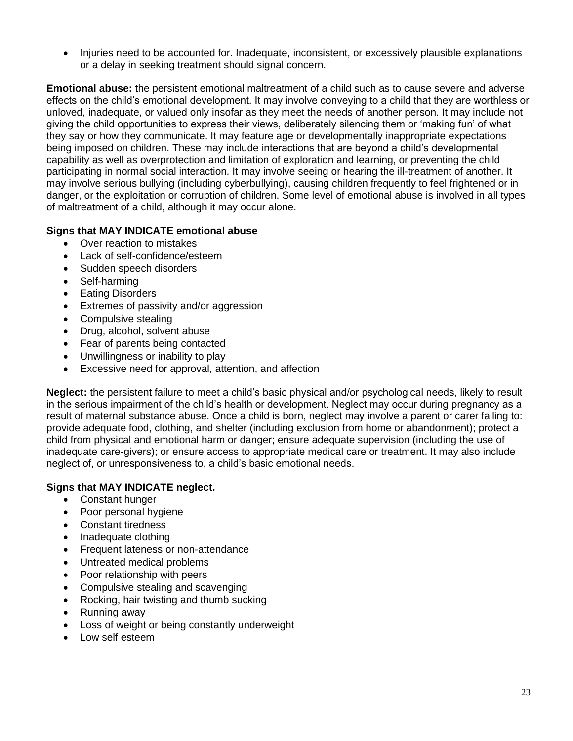• Injuries need to be accounted for. Inadequate, inconsistent, or excessively plausible explanations or a delay in seeking treatment should signal concern.

**Emotional abuse:** the persistent emotional maltreatment of a child such as to cause severe and adverse effects on the child's emotional development. It may involve conveying to a child that they are worthless or unloved, inadequate, or valued only insofar as they meet the needs of another person. It may include not giving the child opportunities to express their views, deliberately silencing them or 'making fun' of what they say or how they communicate. It may feature age or developmentally inappropriate expectations being imposed on children. These may include interactions that are beyond a child's developmental capability as well as overprotection and limitation of exploration and learning, or preventing the child participating in normal social interaction. It may involve seeing or hearing the ill-treatment of another. It may involve serious bullying (including cyberbullying), causing children frequently to feel frightened or in danger, or the exploitation or corruption of children. Some level of emotional abuse is involved in all types of maltreatment of a child, although it may occur alone.

#### **Signs that MAY INDICATE emotional abuse**

- Over reaction to mistakes
- Lack of self-confidence/esteem
- Sudden speech disorders
- Self-harming
- **Eating Disorders**
- Extremes of passivity and/or aggression
- Compulsive stealing
- Drug, alcohol, solvent abuse
- Fear of parents being contacted
- Unwillingness or inability to play
- Excessive need for approval, attention, and affection

**Neglect:** the persistent failure to meet a child's basic physical and/or psychological needs, likely to result in the serious impairment of the child's health or development. Neglect may occur during pregnancy as a result of maternal substance abuse. Once a child is born, neglect may involve a parent or carer failing to: provide adequate food, clothing, and shelter (including exclusion from home or abandonment); protect a child from physical and emotional harm or danger; ensure adequate supervision (including the use of inadequate care-givers); or ensure access to appropriate medical care or treatment. It may also include neglect of, or unresponsiveness to, a child's basic emotional needs.

#### **Signs that MAY INDICATE neglect.**

- Constant hunger
- Poor personal hygiene
- Constant tiredness
- Inadequate clothing
- Frequent lateness or non-attendance
- Untreated medical problems
- Poor relationship with peers
- Compulsive stealing and scavenging
- Rocking, hair twisting and thumb sucking
- Running away
- Loss of weight or being constantly underweight
- Low self esteem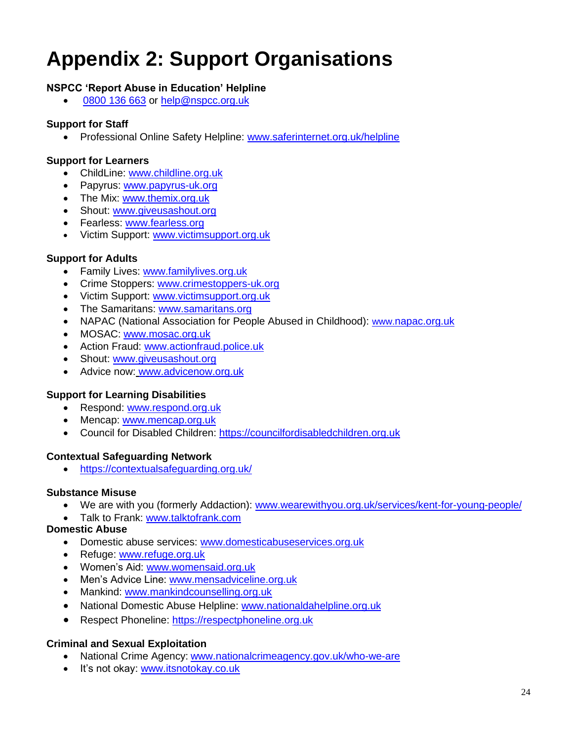# **Appendix 2: Support Organisations**

#### **NSPCC 'Report Abuse in Education' Helpline**

[0800 136 663](tel:0800%20136%20663) or [help@nspcc.org.uk](mailto:help@nspcc.org.uk)

#### **Support for Staff**

• Professional Online Safety Helpline: [www.saferinternet.org.uk/helpline](http://www.saferinternet.org.uk/helpline)

#### **Support for Learners**

- ChildLine: [www.childline.org.uk](http://www.childline.org.uk/)
- Papyrus: [www.papyrus-uk.org](http://www.papyrus-uk.org/)
- The Mix: [www.themix.org.uk](http://www.themix.org.uk/)
- Shout: [www.giveusashout.org](http://www.giveusashout.org/)
- Fearless: [www.fearless.org](http://www.fearless.org/)
- Victim Support: [www.victimsupport.org.uk](http://www.victimsupport.org.uk/)

#### **Support for Adults**

- Family Lives: [www.familylives.org.uk](http://www.familylives.org.uk/)
- Crime Stoppers: [www.crimestoppers-uk.org](http://www.crimestoppers-uk.org/)
- Victim Support: [www.victimsupport.org.uk](http://www.victimsupport.org.uk/)
- The Samaritans: [www.samaritans.org](http://www.samaritans.org/)
- NAPAC (National Association for People Abused in Childhood): www.[napac.org.uk](https://napac.org.uk/)
- MOSAC: [www.mosac.org.uk](http://www.mosac.org.uk/)
- Action Fraud: [www.actionfraud.police.uk](http://www.actionfraud.police.uk/)
- Shout: [www.giveusashout.org](http://www.giveusashout.org/)
- Advice now: www.advicenow.org.uk

#### **Support for Learning Disabilities**

- Respond: [www.respond.org.uk](http://www.respond.org.uk/)
- Mencap: [www.mencap.org.uk](http://www.mencap.org.uk/)
- Council for Disabled Children: [https://councilfordisabledchildren.org.uk](https://councilfordisabledchildren.org.uk/)

#### **Contextual Safeguarding Network**

• <https://contextualsafeguarding.org.uk/>

#### **Substance Misuse**

- We are with you (formerly Addaction): [www.wearewithyou.org.uk/services/kent-for-young-people/](http://www.wearewithyou.org.uk/services/kent-for-young-people/)
- Talk to Frank: [www.talktofrank.com](http://www.talktofrank.com/)

#### **Domestic Abuse**

- Domestic abuse services: [www.domesticabuseservices.org.uk](http://www.domesticabuseservices.org.uk/)
- Refuge: [www.refuge.org.uk](http://www.refuge.org.uk/)
- Women's Aid: [www.womensaid.org.uk](http://www.womensaid.org.uk/)
- Men's Advice Line: [www.mensadviceline.org.uk](http://www.mensadviceline.org.uk/)
- Mankind: [www.mankindcounselling.org.uk](http://www.mankindcounselling.org.uk/)
- National Domestic Abuse Helpline: [www.nationaldahelpline.org.uk](http://www.nationaldahelpline.org.uk/)
- Respect Phoneline: [https://respectphoneline.org.uk](https://respectphoneline.org.uk/)

#### **Criminal and Sexual Exploitation**

- National Crime Agency: [www.nationalcrimeagency.gov.uk/who-we-are](http://www.nationalcrimeagency.gov.uk/who-we-are)
- It's not okay: [www.itsnotokay.co.uk](http://www.itsnotokay.co.uk/)